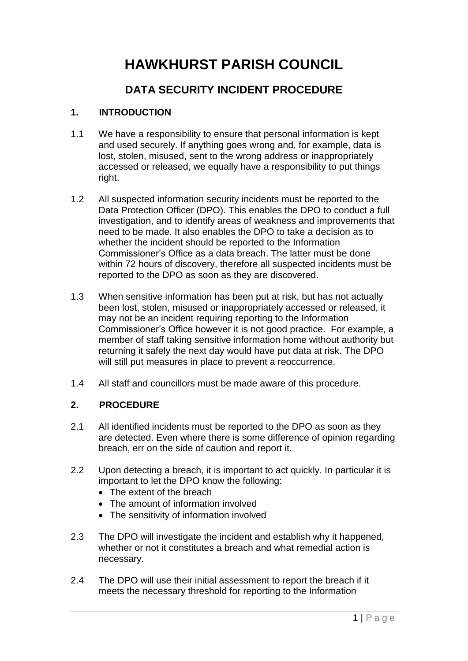# **HAWKHURST PARISH COUNCIL**

# **DATA SECURITY INCIDENT PROCEDURE**

## **1. INTRODUCTION**

- 1.1 We have a responsibility to ensure that personal information is kept and used securely. If anything goes wrong and, for example, data is lost, stolen, misused, sent to the wrong address or inappropriately accessed or released, we equally have a responsibility to put things right.
- 1.2 All suspected information security incidents must be reported to the Data Protection Officer (DPO). This enables the DPO to conduct a full investigation, and to identify areas of weakness and improvements that need to be made. It also enables the DPO to take a decision as to whether the incident should be reported to the Information Commissioner's Office as a data breach. The latter must be done within 72 hours of discovery, therefore all suspected incidents must be reported to the DPO as soon as they are discovered.
- 1.3 When sensitive information has been put at risk, but has not actually been lost, stolen, misused or inappropriately accessed or released, it may not be an incident requiring reporting to the Information Commissioner's Office however it is not good practice. For example, a member of staff taking sensitive information home without authority but returning it safely the next day would have put data at risk. The DPO will still put measures in place to prevent a reoccurrence.
- 1.4 All staff and councillors must be made aware of this procedure.

#### **2. PROCEDURE**

- 2.1 All identified incidents must be reported to the DPO as soon as they are detected. Even where there is some difference of opinion regarding breach, err on the side of caution and report it.
- 2.2 Upon detecting a breach, it is important to act quickly. In particular it is important to let the DPO know the following:
	- The extent of the breach
	- The amount of information involved
	- The sensitivity of information involved
- 2.3 The DPO will investigate the incident and establish why it happened, whether or not it constitutes a breach and what remedial action is necessary.
- 2.4 The DPO will use their initial assessment to report the breach if it meets the necessary threshold for reporting to the Information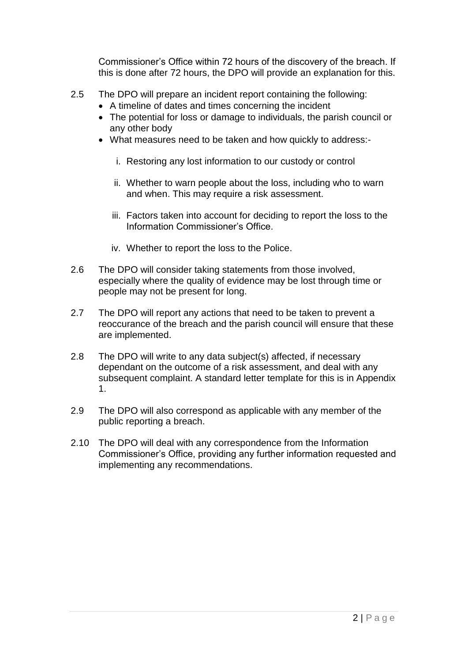Commissioner's Office within 72 hours of the discovery of the breach. If this is done after 72 hours, the DPO will provide an explanation for this.

- 2.5 The DPO will prepare an incident report containing the following:
	- A timeline of dates and times concerning the incident
	- The potential for loss or damage to individuals, the parish council or any other body
	- What measures need to be taken and how quickly to address:
		- i. Restoring any lost information to our custody or control
		- ii. Whether to warn people about the loss, including who to warn and when. This may require a risk assessment.
		- iii. Factors taken into account for deciding to report the loss to the Information Commissioner's Office.
		- iv. Whether to report the loss to the Police.
- 2.6 The DPO will consider taking statements from those involved, especially where the quality of evidence may be lost through time or people may not be present for long.
- 2.7 The DPO will report any actions that need to be taken to prevent a reoccurance of the breach and the parish council will ensure that these are implemented.
- 2.8 The DPO will write to any data subject(s) affected, if necessary dependant on the outcome of a risk assessment, and deal with any subsequent complaint. A standard letter template for this is in Appendix 1.
- 2.9 The DPO will also correspond as applicable with any member of the public reporting a breach.
- 2.10 The DPO will deal with any correspondence from the Information Commissioner's Office, providing any further information requested and implementing any recommendations.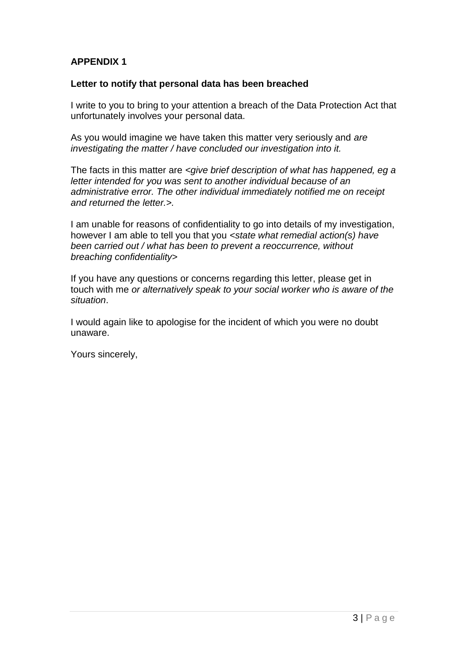### **APPENDIX 1**

#### **Letter to notify that personal data has been breached**

I write to you to bring to your attention a breach of the Data Protection Act that unfortunately involves your personal data.

As you would imagine we have taken this matter very seriously and *are investigating the matter / have concluded our investigation into it.*

The facts in this matter are *<give brief description of what has happened, eg a letter intended for you was sent to another individual because of an administrative error. The other individual immediately notified me on receipt and returned the letter.>.*

I am unable for reasons of confidentiality to go into details of my investigation, however I am able to tell you that you *<state what remedial action(s) have been carried out / what has been to prevent a reoccurrence, without breaching confidentiality>*

If you have any questions or concerns regarding this letter, please get in touch with me *or alternatively speak to your social worker who is aware of the situation*.

I would again like to apologise for the incident of which you were no doubt unaware.

Yours sincerely,